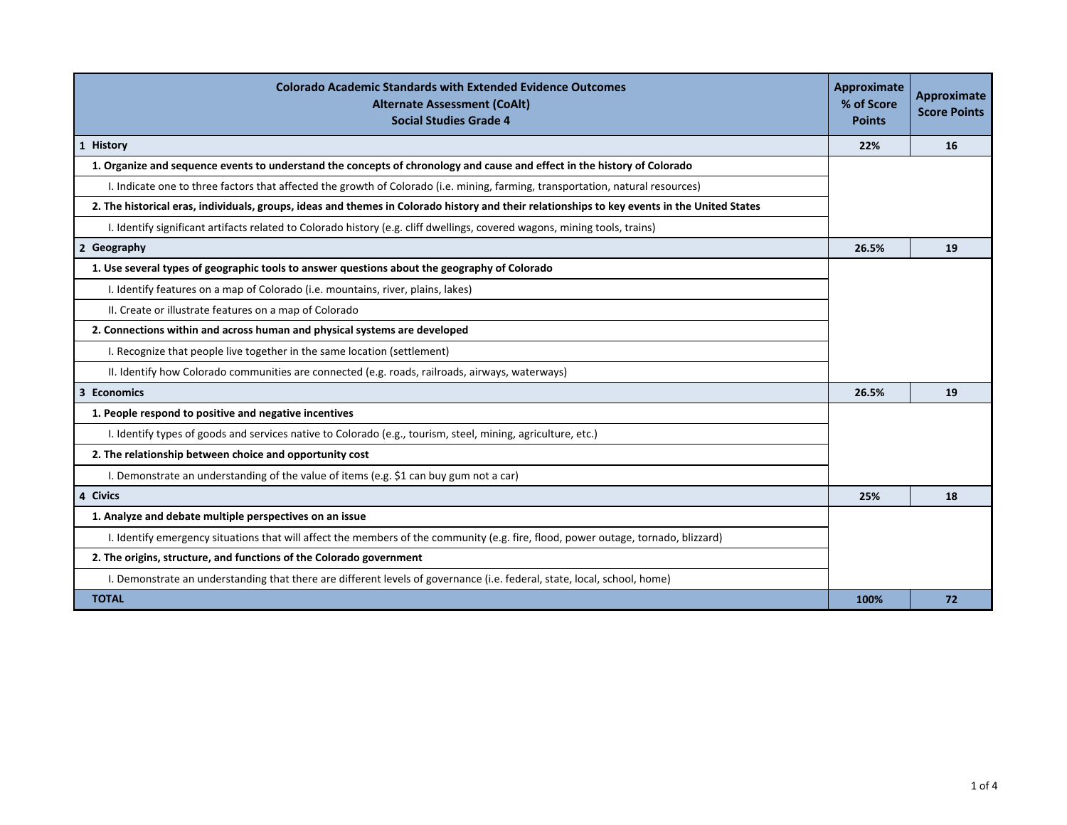| <b>Colorado Academic Standards with Extended Evidence Outcomes</b><br><b>Alternate Assessment (CoAlt)</b><br><b>Social Studies Grade 4</b>   | Approximate<br>% of Score<br><b>Points</b> | <b>Approximate</b><br><b>Score Points</b> |
|----------------------------------------------------------------------------------------------------------------------------------------------|--------------------------------------------|-------------------------------------------|
| 1 History                                                                                                                                    | 22%                                        | 16                                        |
| 1. Organize and sequence events to understand the concepts of chronology and cause and effect in the history of Colorado                     |                                            |                                           |
| I. Indicate one to three factors that affected the growth of Colorado (i.e. mining, farming, transportation, natural resources)              |                                            |                                           |
| 2. The historical eras, individuals, groups, ideas and themes in Colorado history and their relationships to key events in the United States |                                            |                                           |
| I. Identify significant artifacts related to Colorado history (e.g. cliff dwellings, covered wagons, mining tools, trains)                   |                                            |                                           |
| 2 Geography                                                                                                                                  | 26.5%                                      | 19                                        |
| 1. Use several types of geographic tools to answer questions about the geography of Colorado                                                 |                                            |                                           |
| I. Identify features on a map of Colorado (i.e. mountains, river, plains, lakes)                                                             |                                            |                                           |
| II. Create or illustrate features on a map of Colorado                                                                                       |                                            |                                           |
| 2. Connections within and across human and physical systems are developed                                                                    |                                            |                                           |
| I. Recognize that people live together in the same location (settlement)                                                                     |                                            |                                           |
| II. Identify how Colorado communities are connected (e.g. roads, railroads, airways, waterways)                                              |                                            |                                           |
| 3 Economics                                                                                                                                  | 26.5%                                      | 19                                        |
| 1. People respond to positive and negative incentives                                                                                        |                                            |                                           |
| I. Identify types of goods and services native to Colorado (e.g., tourism, steel, mining, agriculture, etc.)                                 |                                            |                                           |
| 2. The relationship between choice and opportunity cost                                                                                      |                                            |                                           |
| I. Demonstrate an understanding of the value of items (e.g. \$1 can buy gum not a car)                                                       |                                            |                                           |
| 4 Civics                                                                                                                                     | 25%                                        | 18                                        |
| 1. Analyze and debate multiple perspectives on an issue                                                                                      |                                            |                                           |
| I. Identify emergency situations that will affect the members of the community (e.g. fire, flood, power outage, tornado, blizzard)           |                                            |                                           |
| 2. The origins, structure, and functions of the Colorado government                                                                          |                                            |                                           |
| I. Demonstrate an understanding that there are different levels of governance (i.e. federal, state, local, school, home)                     |                                            |                                           |
| <b>TOTAL</b>                                                                                                                                 | 100%                                       | 72                                        |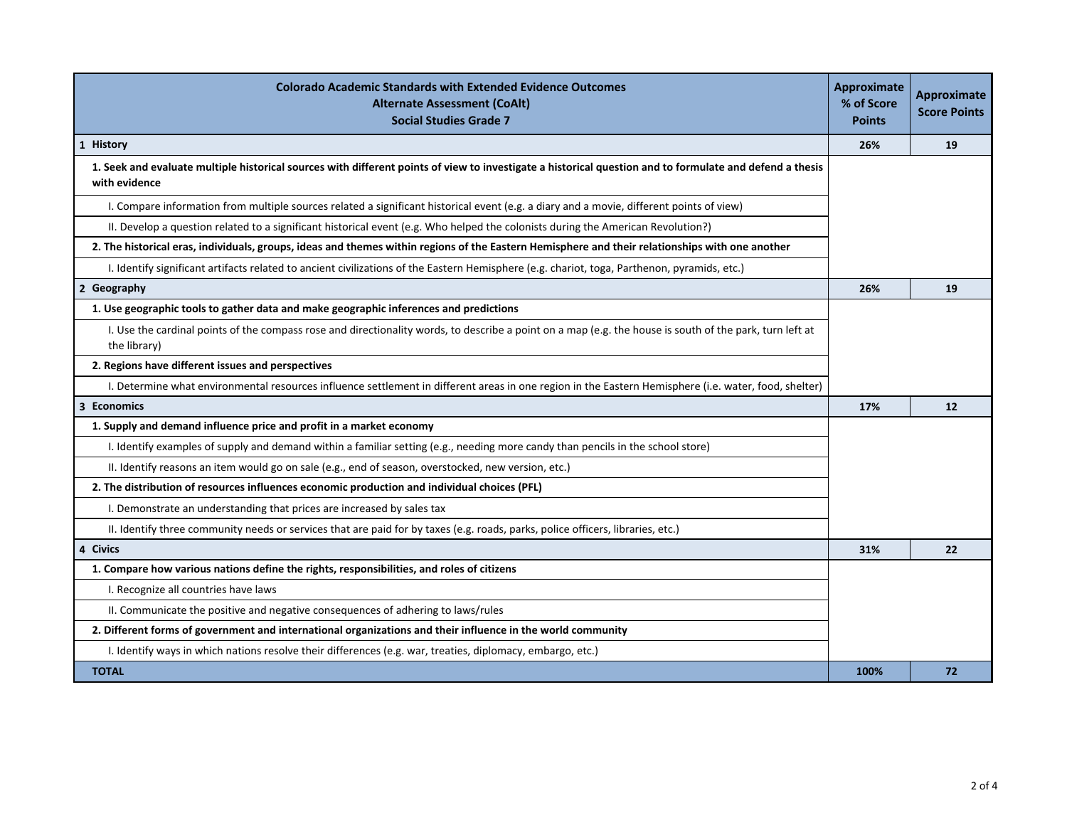| <b>Colorado Academic Standards with Extended Evidence Outcomes</b><br><b>Alternate Assessment (CoAlt)</b><br><b>Social Studies Grade 7</b>                                | <b>Approximate</b><br>% of Score<br><b>Points</b> | <b>Approximate</b><br><b>Score Points</b> |
|---------------------------------------------------------------------------------------------------------------------------------------------------------------------------|---------------------------------------------------|-------------------------------------------|
| 1 History                                                                                                                                                                 | 26%                                               | 19                                        |
| 1. Seek and evaluate multiple historical sources with different points of view to investigate a historical question and to formulate and defend a thesis<br>with evidence |                                                   |                                           |
| I. Compare information from multiple sources related a significant historical event (e.g. a diary and a movie, different points of view)                                  |                                                   |                                           |
| II. Develop a question related to a significant historical event (e.g. Who helped the colonists during the American Revolution?)                                          |                                                   |                                           |
| 2. The historical eras, individuals, groups, ideas and themes within regions of the Eastern Hemisphere and their relationships with one another                           |                                                   |                                           |
| I. Identify significant artifacts related to ancient civilizations of the Eastern Hemisphere (e.g. chariot, toga, Parthenon, pyramids, etc.)                              |                                                   |                                           |
| 2 Geography                                                                                                                                                               | 26%                                               | 19                                        |
| 1. Use geographic tools to gather data and make geographic inferences and predictions                                                                                     |                                                   |                                           |
| I. Use the cardinal points of the compass rose and directionality words, to describe a point on a map (e.g. the house is south of the park, turn left at<br>the library)  |                                                   |                                           |
| 2. Regions have different issues and perspectives                                                                                                                         |                                                   |                                           |
| I. Determine what environmental resources influence settlement in different areas in one region in the Eastern Hemisphere (i.e. water, food, shelter)                     |                                                   |                                           |
| 3 Economics                                                                                                                                                               | 17%                                               | 12                                        |
| 1. Supply and demand influence price and profit in a market economy                                                                                                       |                                                   |                                           |
| I. Identify examples of supply and demand within a familiar setting (e.g., needing more candy than pencils in the school store)                                           |                                                   |                                           |
| II. Identify reasons an item would go on sale (e.g., end of season, overstocked, new version, etc.)                                                                       |                                                   |                                           |
| 2. The distribution of resources influences economic production and individual choices (PFL)                                                                              |                                                   |                                           |
| I. Demonstrate an understanding that prices are increased by sales tax                                                                                                    |                                                   |                                           |
| II. Identify three community needs or services that are paid for by taxes (e.g. roads, parks, police officers, libraries, etc.)                                           |                                                   |                                           |
| 4 Civics                                                                                                                                                                  | 31%                                               | 22                                        |
| 1. Compare how various nations define the rights, responsibilities, and roles of citizens                                                                                 |                                                   |                                           |
| I. Recognize all countries have laws                                                                                                                                      |                                                   |                                           |
| II. Communicate the positive and negative consequences of adhering to laws/rules                                                                                          |                                                   |                                           |
| 2. Different forms of government and international organizations and their influence in the world community                                                               |                                                   |                                           |
| I. Identify ways in which nations resolve their differences (e.g. war, treaties, diplomacy, embargo, etc.)                                                                |                                                   |                                           |
| <b>TOTAL</b>                                                                                                                                                              | 100%                                              | 72                                        |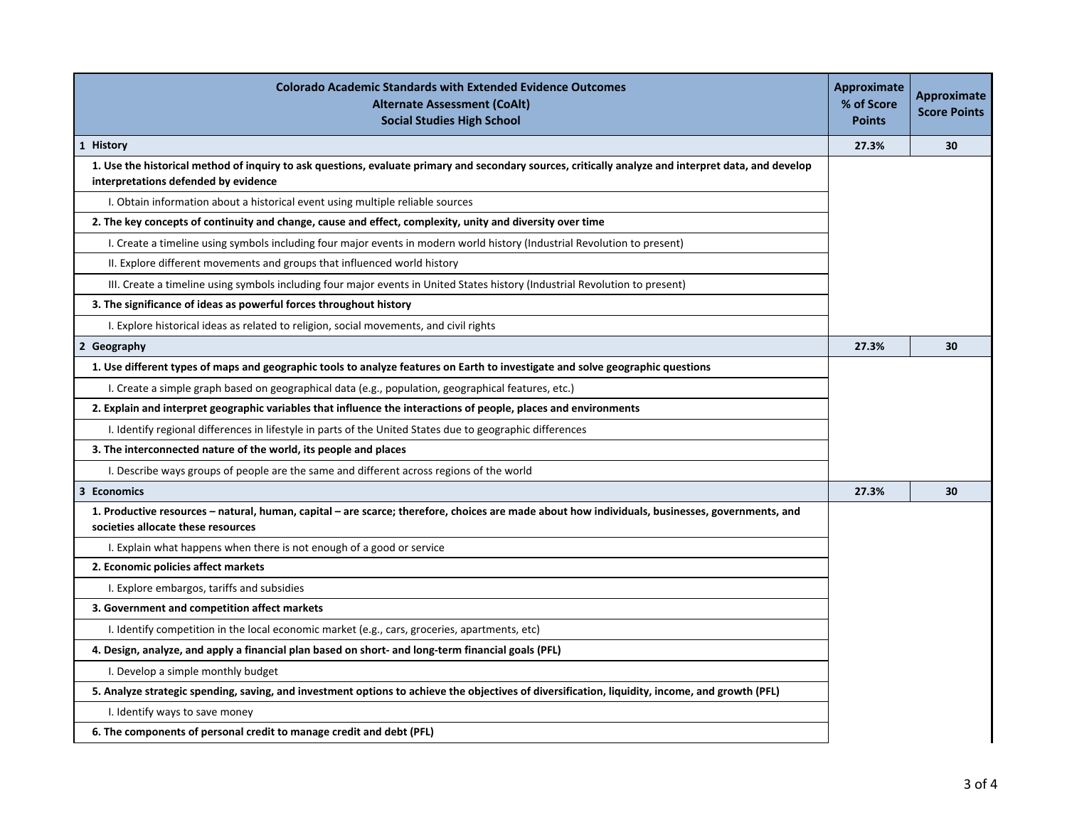| <b>Colorado Academic Standards with Extended Evidence Outcomes</b><br><b>Alternate Assessment (CoAlt)</b><br><b>Social Studies High School</b>                                               | Approximate<br>% of Score<br><b>Points</b> | <b>Approximate</b><br><b>Score Points</b> |
|----------------------------------------------------------------------------------------------------------------------------------------------------------------------------------------------|--------------------------------------------|-------------------------------------------|
| 1 History                                                                                                                                                                                    | 27.3%                                      | 30                                        |
| 1. Use the historical method of inquiry to ask questions, evaluate primary and secondary sources, critically analyze and interpret data, and develop<br>interpretations defended by evidence |                                            |                                           |
| I. Obtain information about a historical event using multiple reliable sources                                                                                                               |                                            |                                           |
| 2. The key concepts of continuity and change, cause and effect, complexity, unity and diversity over time                                                                                    |                                            |                                           |
| I. Create a timeline using symbols including four major events in modern world history (Industrial Revolution to present)                                                                    |                                            |                                           |
| II. Explore different movements and groups that influenced world history                                                                                                                     |                                            |                                           |
| III. Create a timeline using symbols including four major events in United States history (Industrial Revolution to present)                                                                 |                                            |                                           |
| 3. The significance of ideas as powerful forces throughout history                                                                                                                           |                                            |                                           |
| I. Explore historical ideas as related to religion, social movements, and civil rights                                                                                                       |                                            |                                           |
| 2 Geography                                                                                                                                                                                  | 27.3%                                      | 30                                        |
| 1. Use different types of maps and geographic tools to analyze features on Earth to investigate and solve geographic questions                                                               |                                            |                                           |
| I. Create a simple graph based on geographical data (e.g., population, geographical features, etc.)                                                                                          |                                            |                                           |
| 2. Explain and interpret geographic variables that influence the interactions of people, places and environments                                                                             |                                            |                                           |
| I. Identify regional differences in lifestyle in parts of the United States due to geographic differences                                                                                    |                                            |                                           |
| 3. The interconnected nature of the world, its people and places                                                                                                                             |                                            |                                           |
| I. Describe ways groups of people are the same and different across regions of the world                                                                                                     |                                            |                                           |
| 3 Economics                                                                                                                                                                                  | 27.3%                                      | 30                                        |
| 1. Productive resources – natural, human, capital – are scarce; therefore, choices are made about how individuals, businesses, governments, and<br>societies allocate these resources        |                                            |                                           |
| I. Explain what happens when there is not enough of a good or service                                                                                                                        |                                            |                                           |
| 2. Economic policies affect markets                                                                                                                                                          |                                            |                                           |
| I. Explore embargos, tariffs and subsidies                                                                                                                                                   |                                            |                                           |
| 3. Government and competition affect markets                                                                                                                                                 |                                            |                                           |
| I. Identify competition in the local economic market (e.g., cars, groceries, apartments, etc)                                                                                                |                                            |                                           |
| 4. Design, analyze, and apply a financial plan based on short- and long-term financial goals (PFL)                                                                                           |                                            |                                           |
| I. Develop a simple monthly budget                                                                                                                                                           |                                            |                                           |
| 5. Analyze strategic spending, saving, and investment options to achieve the objectives of diversification, liquidity, income, and growth (PFL)                                              |                                            |                                           |
| I. Identify ways to save money                                                                                                                                                               |                                            |                                           |
| 6. The components of personal credit to manage credit and debt (PFL)                                                                                                                         |                                            |                                           |